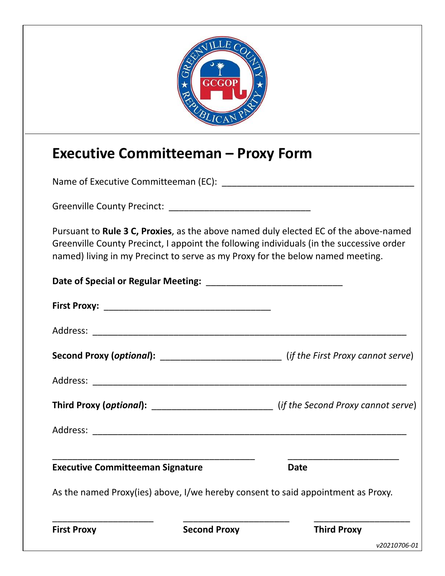|                                         | GCGOP                                      |                                                                                                                                                                                                                                                                    |
|-----------------------------------------|--------------------------------------------|--------------------------------------------------------------------------------------------------------------------------------------------------------------------------------------------------------------------------------------------------------------------|
|                                         | <b>Executive Committeeman - Proxy Form</b> |                                                                                                                                                                                                                                                                    |
|                                         |                                            |                                                                                                                                                                                                                                                                    |
|                                         |                                            |                                                                                                                                                                                                                                                                    |
|                                         |                                            | Pursuant to Rule 3 C, Proxies, as the above named duly elected EC of the above-named<br>Greenville County Precinct, I appoint the following individuals (in the successive order<br>named) living in my Precinct to serve as my Proxy for the below named meeting. |
|                                         |                                            |                                                                                                                                                                                                                                                                    |
|                                         |                                            |                                                                                                                                                                                                                                                                    |
| Address:                                |                                            |                                                                                                                                                                                                                                                                    |
|                                         |                                            | <b>Second Proxy (optional):</b> _________________________________(if the First Proxy cannot serve)                                                                                                                                                                 |
|                                         |                                            |                                                                                                                                                                                                                                                                    |
|                                         |                                            | Third Proxy (optional): __________________________________ (if the Second Proxy cannot serve)                                                                                                                                                                      |
|                                         |                                            |                                                                                                                                                                                                                                                                    |
| <b>Executive Committeeman Signature</b> |                                            | <b>Date</b>                                                                                                                                                                                                                                                        |
|                                         |                                            | As the named Proxy(ies) above, I/we hereby consent to said appointment as Proxy.                                                                                                                                                                                   |
| <b>First Proxy</b>                      | <b>Second Proxy</b>                        | <b>Third Proxy</b>                                                                                                                                                                                                                                                 |
|                                         |                                            | v20210706-01                                                                                                                                                                                                                                                       |